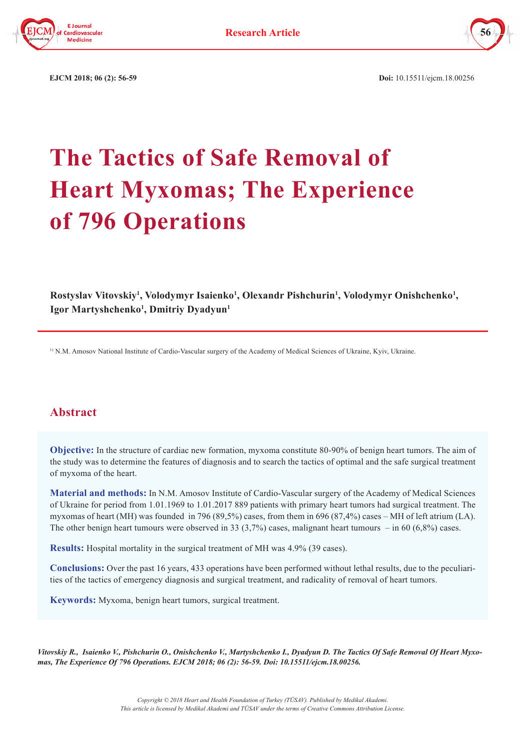



 **EJCM 2018; 06 (2): 56-59 Doi:** 10.15511/ejcm.18.00256

# **The Tactics of Safe Removal of Heart Myxomas; The Experience of 796 Operations**

Rostyslav Vitovskiy<sup>1</sup>, Volodymyr Isaienko<sup>1</sup>, Olexandr Pishchurin<sup>1</sup>, Volodymyr Onishchenko<sup>1</sup>, **Igor Martyshchenko1 , Dmitriy Dyadyun1**

1) N.M. Amosov National Institute of Cardio-Vascular surgery of the Academy of Medical Sciences of Ukraine, Kyiv, Ukraine.

# **Abstract**

**Objective:** In the structure of cardiac new formation, myxoma constitute 80-90% of benign heart tumors. The aim of the study was to determine the features of diagnosis and to search the tactics of optimal and the safe surgical treatment of myxoma of the heart.

**Material and methods:** In N.M. Amosov Institute of Cardio-Vascular surgery of the Academy of Medical Sciences of Ukraine for period from 1.01.1969 to 1.01.2017 889 patients with primary heart tumors had surgical treatment. The myxomas of heart (MH) was founded in 796 (89,5%) cases, from them in 696 (87,4%) cases – MH of left atrium (LA). The other benign heart tumours were observed in 33 (3,7%) cases, malignant heart tumours – in 60 (6,8%) cases.

**Results:** Hospital mortality in the surgical treatment of MН was 4.9% (39 cases).

**Conclusions:** Over the past 16 years, 433 operations have been performed without lethal results, due to the peculiarities of the tactics of emergency diagnosis and surgical treatment, and radicality of removal of heart tumors.

**Keywords:** Myxoma, benign heart tumors, surgical treatment.

*Vitovskiy R., Isaienko V., Pishchurin O., Onishchenko V., Martyshchenko I., Dyadyun D. The Tactics Of Safe Removal Of Heart Myxomas, The Experience Of 796 Operations. EJCM 2018; 06 (2): 56-59. Doi: 10.15511/ejcm.18.00256.*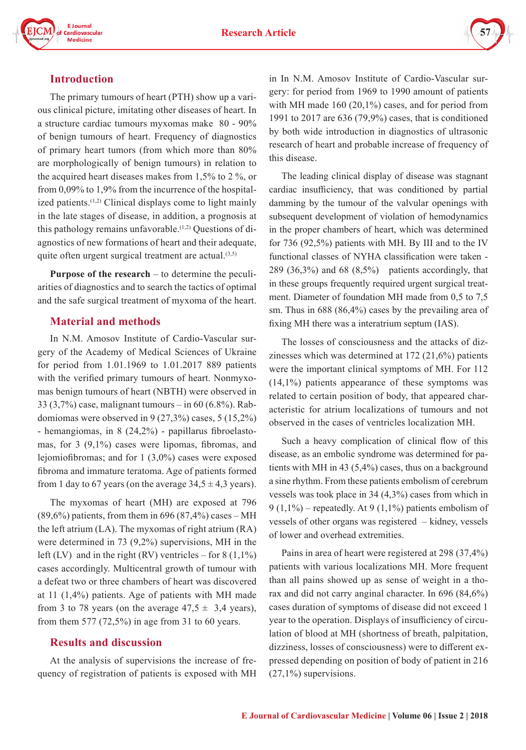



### **Introduction**

The primary tumours of heart (PTH) show up a various clinical picture, imitating other diseases of heart. In a structure cardiac tumours myxomas make 80 - 90% of benign tumours of heart. Frequency of diagnostics of primary heart tumors (from which more than 80% are morphologically of benign tumours) in relation to the acquired heart diseases makes from 1,5% to 2 %, or from 0,09% to 1,9% from the incurrence of the hospitalized patients.<sup>(1,2)</sup> Clinical displays come to light mainly in the late stages of disease, in addition, a prognosis at this pathology remains unfavorable.<sup> $(1,2)$ </sup> Questions of diagnostics of new formations of heart and their adequate, quite often urgent surgical treatment are actual.<sup>(3,5)</sup>

**Purpose of the research** – to determine the peculiarities of diagnostics and to search the tactics of optimal and the safe surgical treatment of myxoma of the heart.

#### **Material and methods**

In N.M. Amosov Institute of Cardio-Vascular surgery of the Academy of Medical Sciences of Ukraine for period from 1.01.1969 to 1.01.2017 889 patients with the verified primary tumours of heart. Nonmyxomas benign tumours of heart (NBTH) were observed in 33 (3,7%) case, malignant tumours – in 60 (6.8%). Rabdomiomas were observed in 9 (27,3%) cases, 5 (15,2%) - hemangiomas, in 8 (24,2%) - papillarus fibroelastomas, for 3 (9,1%) cases were lipomas, fibromas, and lejomiofibromas; and for 1 (3,0%) cases were exposed fibroma and immature teratoma. Age of patients formed from 1 day to 67 years (on the average  $34,5 \pm 4,3$  years).

The myxomas of heart (MH) are exposed at 796  $(89,6\%)$  patients, from them in 696  $(87,4\%)$  cases – MH the left atrium (LA). The myxomas of right atrium (RA) were determined in 73 (9,2%) supervisions, MH in the left (LV) and in the right (RV) ventricles – for  $8(1,1\%)$ cases accordingly. Multicentral growth of tumour with a defeat two or three chambers of heart was discovered at 11 (1,4%) patients. Age of patients with MH made from 3 to 78 years (on the average  $47.5 \pm 3.4$  years), from them 577 (72,5%) in age from 31 to 60 years.

#### **Results and discussion**

At the analysis of supervisions the increase of frequency of registration of patients is exposed with MH in In N.M. Amosov Institute of Cardio-Vascular surgery: for period from 1969 to 1990 amount of patients with MH made 160 (20,1%) cases, and for period from 1991 to 2017 are 636 (79,9%) cases, that is conditioned by both wide introduction in diagnostics of ultrasonic research of heart and probable increase of frequency of this disease.

The leading clinical display of disease was stagnant cardiac insufficiency, that was conditioned by partial damming by the tumour of the valvular openings with subsequent development of violation of hemodynamics in the proper chambers of heart, which was determined for 736 (92,5%) patients with MH. By III and to the IV functional classes of NYHA classification were taken - 289 (36,3%) and 68 (8,5%) patients accordingly, that in these groups frequently required urgent surgical treatment. Diameter of foundation MH made from 0,5 to 7,5 sm. Thus in 688 (86,4%) cases by the prevailing area of fixing MH there was a interatrium septum (IAS).

The losses of consciousness and the attacks of dizzinesses which was determined at 172 (21,6%) patients were the important clinical symptoms of MH. For 112 (14,1%) patients appearance of these symptoms was related to certain position of body, that appeared characteristic for atrium localizations of tumours and not observed in the cases of ventricles localization MH.

Such a heavy complication of clinical flow of this disease, as an embolic syndrome was determined for patients with MH in 43 (5,4%) cases, thus on a background a sine rhythm. From these patients embolism of cerebrum vessels was took place in 34 (4,3%) cases from which in 9 (1,1%) – repeatedly. At 9 (1,1%) patients embolism of vessels of other organs was registered – kidney, vessels of lower and overhead extremities.

Pains in area of heart were registered at 298 (37,4%) patients with various localizations MH. More frequent than all pains showed up as sense of weight in a thorax and did not carry anginal character. In 696 (84,6%) cases duration of symptoms of disease did not exceed 1 year to the operation. Displays of insufficiency of circulation of blood at MH (shortness of breath, palpitation, dizziness, losses of consciousness) were to different expressed depending on position of body of patient in 216  $(27,1\%)$  supervisions.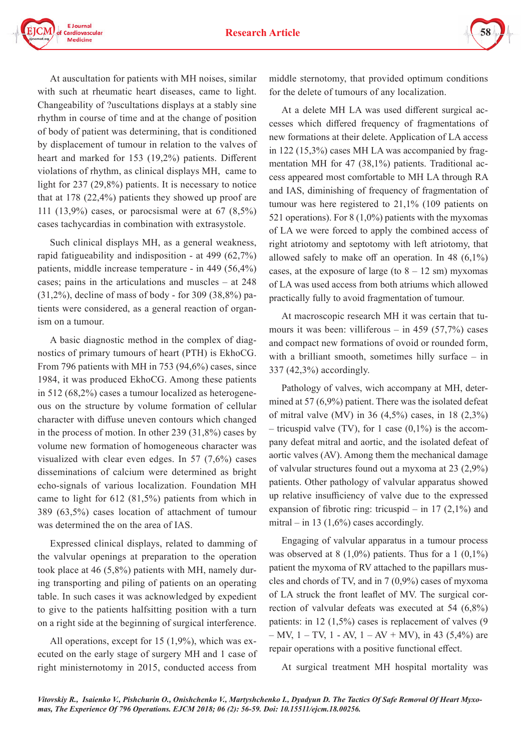



At auscultation for patients with MH noises, similar with such at rheumatic heart diseases, came to light. Changeability of ?uscultations displays at a stably sine rhythm in course of time and at the change of position of body of patient was determining, that is conditioned by displacement of tumour in relation to the valves of heart and marked for 153 (19,2%) patients. Different violations of rhythm, as clinical displays MH, came to light for 237 (29,8%) patients. It is necessary to notice that at 178 (22,4%) patients they showed up proof are 111 (13,9%) cases, or parocsismal were at 67 (8,5%) cases tachycardias in combination with extrasystole.

Such clinical displays MH, as a general weakness, rapid fatigueability and indisposition - at 499 (62,7%) patients, middle increase temperature - in 449 (56,4%) cases; pains in the articulations and muscles – at 248 (31,2%), decline of mass of body - for 309 (38,8%) patients were considered, as a general reaction of organism on a tumour.

A basic diagnostic method in the complex of diagnostics of primary tumours of heart (PTH) is EkhoCG. From 796 patients with MH in 753 (94,6%) cases, since 1984, it was produced EkhoCG. Among these patients in 512 (68,2%) cases a tumour localized as heterogeneous on the structure by volume formation of cellular character with diffuse uneven contours which changed in the process of motion. In other 239 (31,8%) cases by volume new formation of homogeneous character was visualized with clear even edges. In 57 (7,6%) cases disseminations of calcium were determined as bright echo-signals of various localization. Foundation MH came to light for 612 (81,5%) patients from which in 389 (63,5%) cases location of attachment of tumour was determined the on the area of IAS.

Expressed clinical displays, related to damming of the valvular openings at preparation to the operation took place at 46 (5,8%) patients with MH, namely during transporting and piling of patients on an operating table. In such cases it was acknowledged by expedient to give to the patients halfsitting position with a turn on a right side at the beginning of surgical interference.

All operations, except for 15 (1,9%), which was executed on the early stage of surgery MH and 1 case of right ministernotomy in 2015, conducted access from middle sternotomy, that provided optimum conditions for the delete of tumours of any localization.

At a delete MH LA was used different surgical accesses which differed frequency of fragmentations of new formations at their delete. Application of LA access in 122 (15,3%) cases MH LA was accompanied by fragmentation MH for 47 (38,1%) patients. Traditional access appeared most comfortable to MH LA through RA and IAS, diminishing of frequency of fragmentation of tumour was here registered to 21,1% (109 patients on 521 operations). For 8 (1,0%) patients with the myxomas of LA we were forced to apply the combined access of right atriotomy and septotomy with left atriotomy, that allowed safely to make off an operation. In 48 (6,1%) cases, at the exposure of large (to  $8 - 12$  sm) myxomas of LA was used access from both atriums which allowed practically fully to avoid fragmentation of tumour.

At macroscopic research MH it was certain that tumours it was been: villiferous – in 459 (57,7%) cases and compact new formations of ovoid or rounded form, with a brilliant smooth, sometimes hilly surface – in 337 (42,3%) accordingly.

Pathology of valves, wich accompany at MH, determined at 57 (6,9%) patient. There was the isolated defeat of mitral valve (MV) in 36 (4,5%) cases, in 18 (2,3%) – tricuspid valve (TV), for 1 case  $(0,1\%)$  is the accompany defeat mitral and aortic, and the isolated defeat of aortic valves (AV). Among them the mechanical damage of valvular structures found out a myxoma at 23 (2,9%) patients. Other pathology of valvular apparatus showed up relative insufficiency of valve due to the expressed expansion of fibrotic ring: tricuspid – in 17  $(2,1\%)$  and mitral – in 13  $(1,6\%)$  cases accordingly.

Engaging of valvular apparatus in a tumour process was observed at 8  $(1,0\%)$  patients. Thus for a 1  $(0,1\%)$ patient the myxoma of RV attached to the papillars muscles and chords of TV, and in 7 (0,9%) cases of myxoma of LA struck the front leaflet of MV. The surgical correction of valvular defeats was executed at 54 (6,8%) patients: in 12 (1,5%) cases is replacement of valves (9 – MV,  $1 - TV$ ,  $1 - AV$ ,  $1 - AV + MV$ ), in 43 (5,4%) are repair operations with a positive functional effect.

At surgical treatment MH hospital mortality was